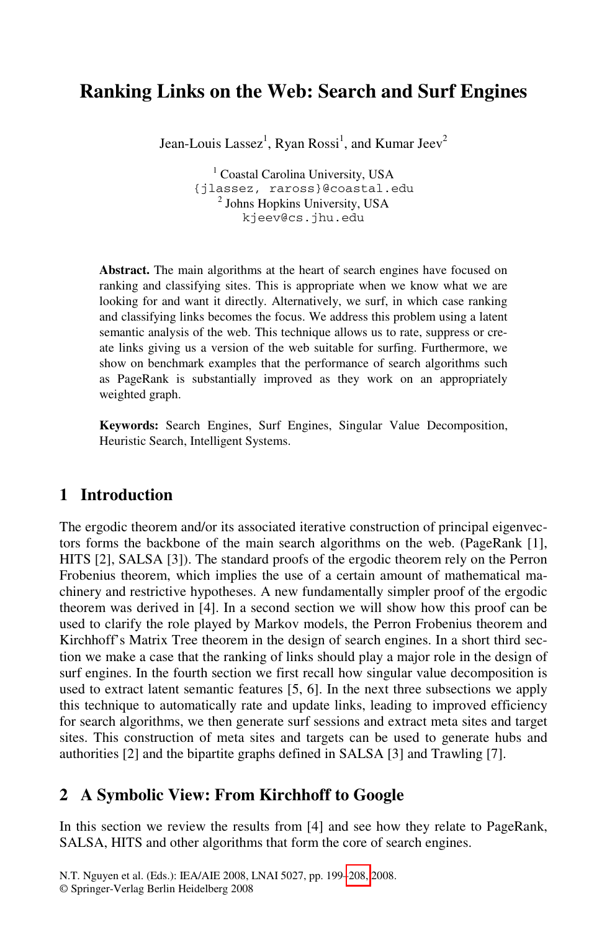# **Ranking Links on the Web: Search and Surf Engines**

Jean-Louis Lassez<sup>1</sup>, Ryan Rossi<sup>1</sup>, and Kumar Jeev<sup>2</sup>

<sup>1</sup> Coastal Carolina University, USA {jlassez, raross}@coastal.edu 2 Johns Hopkins University, USA kjeev@cs.jhu.edu

**Abstract.** The main algorithms at the heart of search engines have focused on ranking and classifying sites. This is appropriate when we know what we are looking for and want it directly. Alternatively, we surf, in which case ranking and classifying links becomes the focus. We address this problem using a latent semantic analysis of the web. This technique allows us to rate, suppress or create links giving us a version of the web suitable for surfing. Furthermore, we show on benchmark examples that the performance of search algorithms such as PageRank is substantially improved as they work on an appropriately weighted graph.

**Keywords:** Search Engines, Surf Engines, Singular Value Decomposition, Heuristic Search, Intelligent Systems.

# **1 Introduction**

The ergodic theorem and/or its associated iterative construction of principal eigenvectors forms the backbone of the main search algorithms on the web. (PageRank [1], HITS [2], SALSA [3]). The standard proofs of the ergodic theorem rely on the Perron Frobenius theorem, which implies the use of a certain amount of mathematical machinery and restrictive hypotheses. A new fundamentally simpler proof of the ergodic theorem was derived in [4]. In a second section we will show how this proof can be used to clarify the role played by Markov models, the Perron Frobenius theorem and Kirchhoff's Matrix Tree theorem in the design of search engines. In a short third section we make a case that the ranking of links should play a major role in the design of surf engines. In the fourth section we first recall how singular value decomposition is used to extract latent semantic features [5, 6]. In the next three subsections we apply this technique to automatically rate and update links, leading to improved efficiency for search algorithms, we then generate surf sessions and extract meta sites and target sites. This construction of m[eta s](#page-9-0)ites and targets can be used to generate hubs and authorities [2] and the bipartite graphs defined in SALSA [3] and Trawling [7].

## **2 A Symbolic View: From Kirchhoff to Google**

In this section we review the results from [4] and see how they relate to PageRank, SALSA, HITS and other algorithms that form the core of search engines.

N.T. Nguyen et al. (Eds.): IEA/AIE 2008, LNAI 5027, pp. 199–208, 2008. © Springer-Verlag Berlin Heidelberg 2008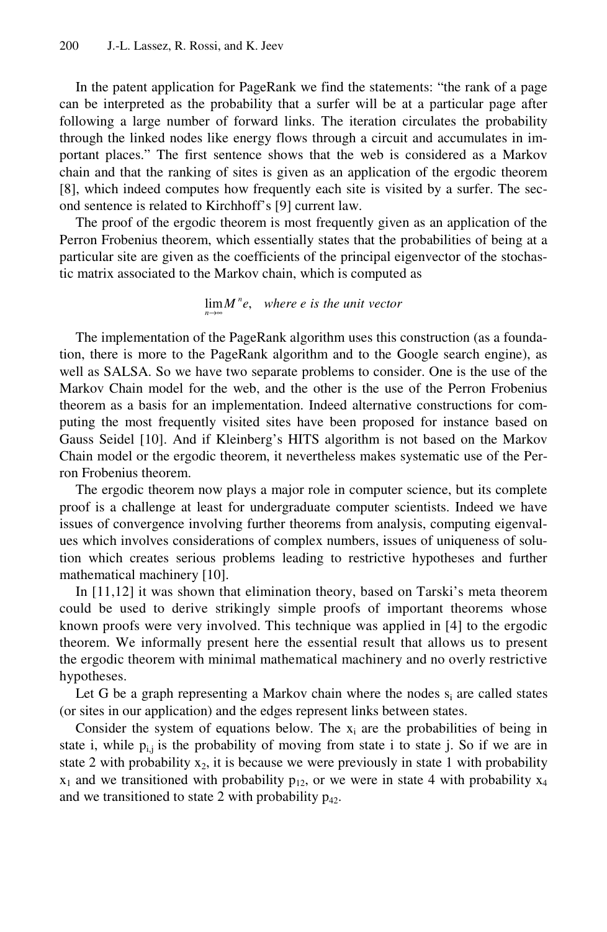In the patent application for PageRank we find the statements: "the rank of a page can be interpreted as the probability that a surfer will be at a particular page after following a large number of forward links. The iteration circulates the probability through the linked nodes like energy flows through a circuit and accumulates in important places." The first sentence shows that the web is considered as a Markov chain and that the ranking of sites is given as an application of the ergodic theorem [8], which indeed computes how frequently each site is visited by a surfer. The second sentence is related to Kirchhoff's [9] current law.

The proof of the ergodic theorem is most frequently given as an application of the Perron Frobenius theorem, which essentially states that the probabilities of being at a particular site are given as the coefficients of the principal eigenvector of the stochastic matrix associated to the Markov chain, which is computed as

#### $\lim_{n\to\infty} M^n e$ , where *e* is the *unit* vector *n*

The implementation of the PageRank algorithm uses this construction (as a foundation, there is more to the PageRank algorithm and to the Google search engine), as well as SALSA. So we have two separate problems to consider. One is the use of the Markov Chain model for the web, and the other is the use of the Perron Frobenius theorem as a basis for an implementation. Indeed alternative constructions for computing the most frequently visited sites have been proposed for instance based on Gauss Seidel [10]. And if Kleinberg's HITS algorithm is not based on the Markov Chain model or the ergodic theorem, it nevertheless makes systematic use of the Perron Frobenius theorem.

The ergodic theorem now plays a major role in computer science, but its complete proof is a challenge at least for undergraduate computer scientists. Indeed we have issues of convergence involving further theorems from analysis, computing eigenvalues which involves considerations of complex numbers, issues of uniqueness of solution which creates serious problems leading to restrictive hypotheses and further mathematical machinery [10].

In [11,12] it was shown that elimination theory, based on Tarski's meta theorem could be used to derive strikingly simple proofs of important theorems whose known proofs were very involved. This technique was applied in [4] to the ergodic theorem. We informally present here the essential result that allows us to present the ergodic theorem with minimal mathematical machinery and no overly restrictive hypotheses.

Let G be a graph representing a Markov chain where the nodes  $s_i$  are called states (or sites in our application) and the edges represent links between states.

Consider the system of equations below. The  $x_i$  are the probabilities of being in state i, while  $p_{i,j}$  is the probability of moving from state i to state j. So if we are in state 2 with probability  $x_2$ , it is because we were previously in state 1 with probability  $x_1$  and we transitioned with probability  $p_{12}$ , or we were in state 4 with probability  $x_4$ and we transitioned to state 2 with probability  $p_{42}$ .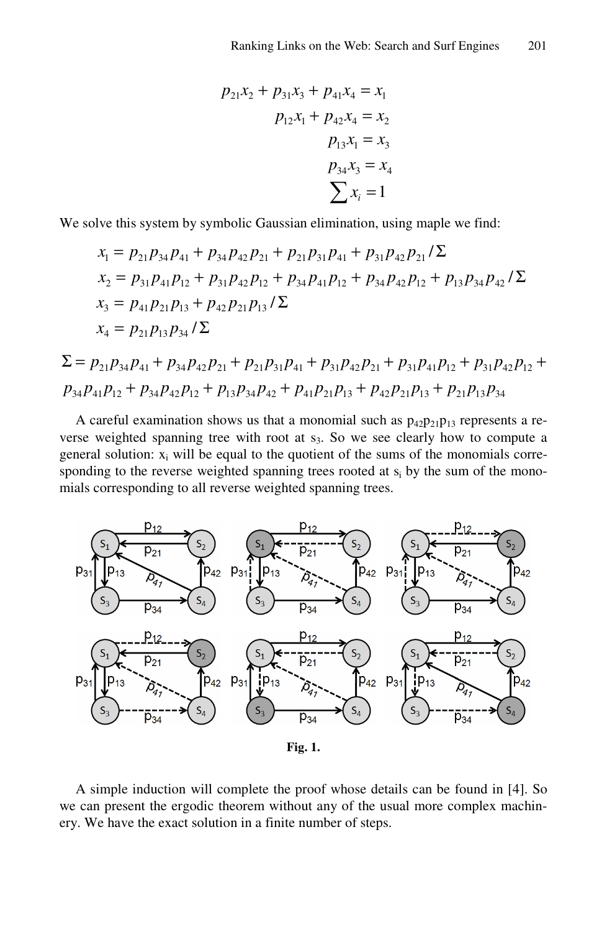$$
p_{21}x_2 + p_{31}x_3 + p_{41}x_4 = x_1
$$
  
\n
$$
p_{12}x_1 + p_{42}x_4 = x_2
$$
  
\n
$$
p_{13}x_1 = x_3
$$
  
\n
$$
p_{34}x_3 = x_4
$$
  
\n
$$
\sum x_i = 1
$$

We solve this system by symbolic Gaussian elimination, using maple we find:

$$
x_1 = p_{21}p_{34}p_{41} + p_{34}p_{42}p_{21} + p_{21}p_{31}p_{41} + p_{31}p_{42}p_{21}/\Sigma
$$
  
\n
$$
x_2 = p_{31}p_{41}p_{12} + p_{31}p_{42}p_{12} + p_{34}p_{41}p_{12} + p_{34}p_{42}p_{12} + p_{13}p_{34}p_{42}/\Sigma
$$
  
\n
$$
x_3 = p_{41}p_{21}p_{13} + p_{42}p_{21}p_{13}/\Sigma
$$
  
\n
$$
x_4 = p_{21}p_{13}p_{34}/\Sigma
$$
  
\n
$$
\Sigma = p_{21}p_{34}p_{41} + p_{34}p_{42}p_{21} + p_{21}p_{31}p_{41} + p_{31}p_{42}p_{21} + p_{31}p_{41}p_{12} + p_{31}p_{42}p_{12} + p_{42}p_{42}p_{42} + p_{43}p_{42}p_{42} + p_{43}p_{42}p_{42} + p_{43}p_{42}p_{42} + p_{43}p_{42}p_{42} + p_{43}p_{42}p_{42} + p_{43}p_{42}p_{42} + p_{43}p_{42}p_{42} + p_{43}p_{42}p_{42} + p_{43}p_{42}p_{42} + p_{43}p_{42}p_{42} + p_{43}p_{42}p_{42} + p_{43}p_{42}p_{42} + p_{43}p_{42}p_{42} + p_{43}p_{42}p_{42} + p_{43}p_{42}p_{42} + p_{43}p_{42}p_{42} + p_{43}p_{42}p_{42} + p_{43}p_{42}p_{42} + p_{43}p_{42}p_{42} + p_{43}p_{42}p_{42} + p_{43}p_{42}p_{42} + p_{43}p_{42}p_{42} + p_{43}p_{42}p_{42} + p_{43}p_{42}p_{42} + p
$$

$$
p_{34}p_{41}p_{12} + p_{34}p_{42}p_{12} + p_{13}p_{34}p_{42} + p_{41}p_{21}p_{13} + p_{42}p_{21}p_{13} + p_{21}p_{13}p_{34}
$$

A careful examination shows us that a monomial such as  $p_{42}p_{21}p_{13}$  represents a reverse weighted spanning tree with root at  $s<sub>3</sub>$ . So we see clearly how to compute a general solution:  $x_i$  will be equal to the quotient of the sums of the monomials corresponding to the reverse weighted spanning trees rooted at  $s<sub>i</sub>$  by the sum of the monomials corresponding to all reverse weighted spanning trees.



**Fig. 1.** 

A simple induction will complete the proof whose details can be found in [4]. So we can present the ergodic theorem without any of the usual more complex machinery. We have the exact solution in a finite number of steps.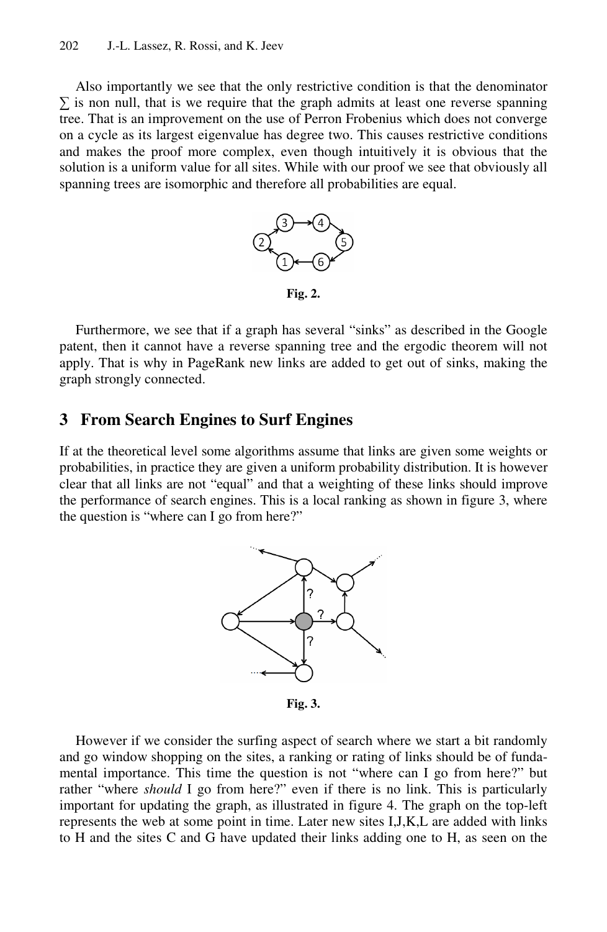Also importantly we see that the only restrictive condition is that the denominator  $\Sigma$  is non null, that is we require that the graph admits at least one reverse spanning tree. That is an improvement on the use of Perron Frobenius which does not converge on a cycle as its largest eigenvalue has degree two. This causes restrictive conditions and makes the proof more complex, even though intuitively it is obvious that the solution is a uniform value for all sites. While with our proof we see that obviously all spanning trees are isomorphic and therefore all probabilities are equal.



**Fig. 2.** 

Furthermore, we see that if a graph has several "sinks" as described in the Google patent, then it cannot have a reverse spanning tree and the ergodic theorem will not apply. That is why in PageRank new links are added to get out of sinks, making the graph strongly connected.

### **3 From Search Engines to Surf Engines**

If at the theoretical level some algorithms assume that links are given some weights or probabilities, in practice they are given a uniform probability distribution. It is however clear that all links are not "equal" and that a weighting of these links should improve the performance of search engines. This is a local ranking as shown in figure 3, where the question is "where can I go from here?"



**Fig. 3.**

However if we consider the surfing aspect of search where we start a bit randomly and go window shopping on the sites, a ranking or rating of links should be of fundamental importance. This time the question is not "where can I go from here?" but rather "where *should* I go from here?" even if there is no link. This is particularly important for updating the graph, as illustrated in figure 4. The graph on the top-left represents the web at some point in time. Later new sites I,J,K,L are added with links to H and the sites C and G have updated their links adding one to H, as seen on the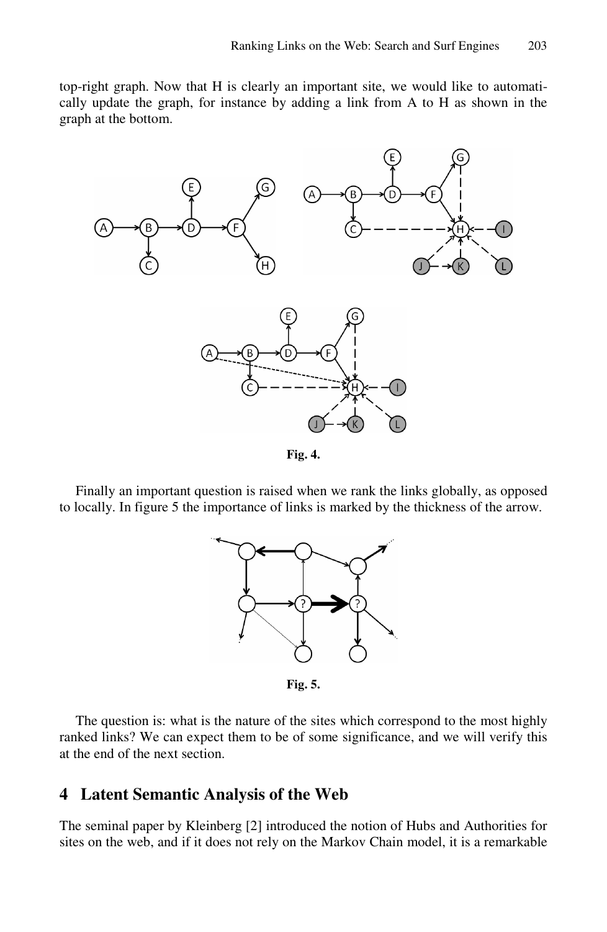top-right graph. Now that H is clearly an important site, we would like to automatically update the graph, for instance by adding a link from A to H as shown in the graph at the bottom.



**Fig. 4.**

Finally an important question is raised when we rank the links globally, as opposed to locally. In figure 5 the importance of links is marked by the thickness of the arrow.



**Fig. 5.**

The question is: what is the nature of the sites which correspond to the most highly ranked links? We can expect them to be of some significance, and we will verify this at the end of the next section.

#### **4 Latent Semantic Analysis of the Web**

The seminal paper by Kleinberg [2] introduced the notion of Hubs and Authorities for sites on the web, and if it does not rely on the Markov Chain model, it is a remarkable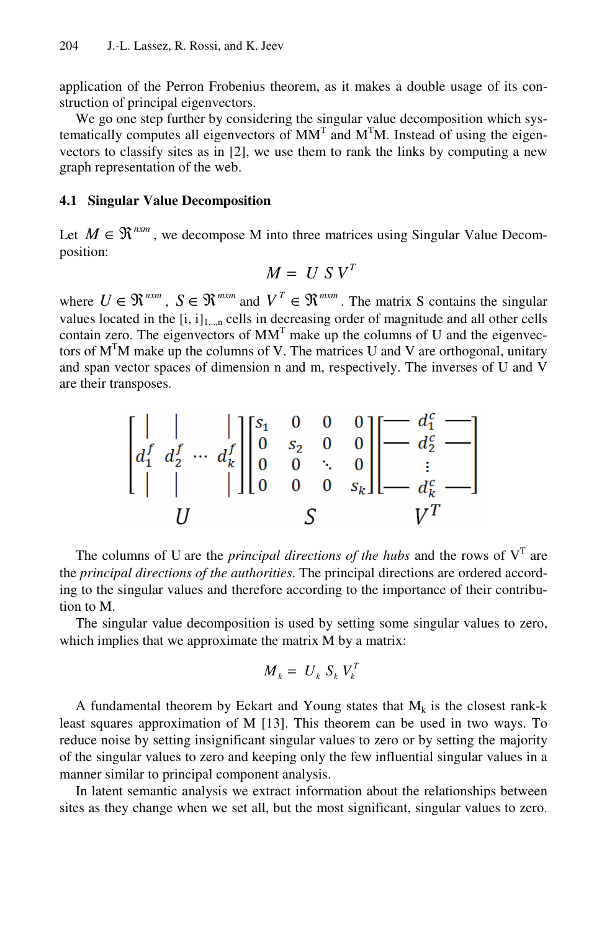application of the Perron Frobenius theorem, as it makes a double usage of its construction of principal eigenvectors.

We go one step further by considering the singular value decomposition which systematically computes all eigenvectors of  $MM<sup>T</sup>$  and  $M<sup>T</sup>M$ . Instead of using the eigenvectors to classify sites as in [2], we use them to rank the links by computing a new graph representation of the web.

#### **4.1 Singular Value Decomposition**

Let  $M \in \mathfrak{R}^{n \times m}$ , we decompose M into three matrices using Singular Value Decomposition:

$$
M = U S V^T
$$

where  $U \in \mathfrak{R}^{n \times m}$ ,  $S \in \mathfrak{R}^{m \times m}$  and  $V^T \in \mathfrak{R}^{m \times m}$ . The matrix S contains the singular values located in the  $[i, i]_{1,\dots,n}$  cells in decreasing order of magnitude and all other cells contain zero. The eigenvectors of  $MM<sup>T</sup>$  make up the columns of U and the eigenvectors of  $M<sup>T</sup>M$  make up the columns of V. The matrices U and V are orthogonal, unitary and span vector spaces of dimension n and m, respectively. The inverses of U and V are their transposes.

$$
\begin{bmatrix} | & | & | \\ d_1^f & d_2^f & \cdots & d_k^f \\ | & | & | & | \end{bmatrix} \begin{bmatrix} s_1 & 0 & 0 & 0 \\ 0 & s_2 & 0 & 0 \\ 0 & 0 & \ddots & 0 \\ 0 & 0 & 0 & s_k \end{bmatrix} \begin{bmatrix} - & d_1^c & - \\ - & d_2^c & - \\ \vdots & \vdots & \vdots \\ - & d_k^c & - \end{bmatrix}
$$
  

$$
U
$$

The columns of U are the *principal directions of the hubs* and the rows of  $V<sup>T</sup>$  are the *principal directions of the authorities*. The principal directions are ordered according to the singular values and therefore according to the importance of their contribution to M.

The singular value decomposition is used by setting some singular values to zero, which implies that we approximate the matrix M by a matrix:

$$
M_k = U_k S_k V_k^T
$$

A fundamental theorem by Eckart and Young states that  $M_k$  is the closest rank-k least squares approximation of M [13]. This theorem can be used in two ways. To reduce noise by setting insignificant singular values to zero or by setting the majority of the singular values to zero and keeping only the few influential singular values in a manner similar to principal component analysis.

In latent semantic analysis we extract information about the relationships between sites as they change when we set all, but the most significant, singular values to zero.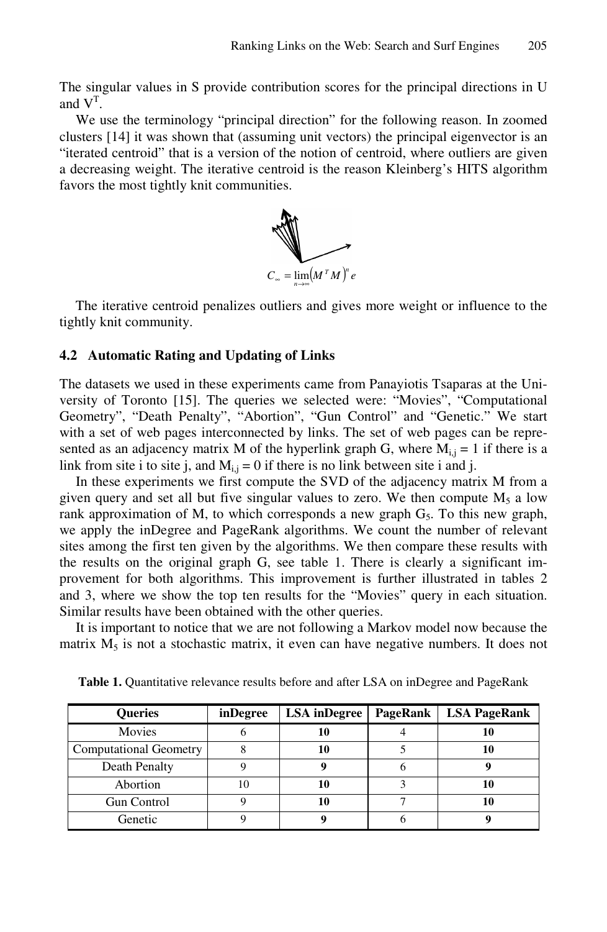The singular values in S provide contribution scores for the principal directions in U and  $V<sup>T</sup>$ .

We use the terminology "principal direction" for the following reason. In zoomed clusters [14] it was shown that (assuming unit vectors) the principal eigenvector is an "iterated centroid" that is a version of the notion of centroid, where outliers are given a decreasing weight. The iterative centroid is the reason Kleinberg's HITS algorithm favors the most tightly knit communities.



The iterative centroid penalizes outliers and gives more weight or influence to the tightly knit community.

### **4.2 Automatic Rating and Updating of Links**

The datasets we used in these experiments came from Panayiotis Tsaparas at the University of Toronto [15]. The queries we selected were: "Movies", "Computational Geometry", "Death Penalty", "Abortion", "Gun Control" and "Genetic." We start with a set of web pages interconnected by links. The set of web pages can be represented as an adjacency matrix M of the hyperlink graph G, where  $M_{i,j} = 1$  if there is a link from site i to site j, and  $M_{i,j} = 0$  if there is no link between site i and j.

In these experiments we first compute the SVD of the adjacency matrix M from a given query and set all but five singular values to zero. We then compute  $M_5$  a low rank approximation of M, to which corresponds a new graph  $G<sub>5</sub>$ . To this new graph, we apply the inDegree and PageRank algorithms. We count the number of relevant sites among the first ten given by the algorithms. We then compare these results with the results on the original graph G, see table 1. There is clearly a significant improvement for both algorithms. This improvement is further illustrated in tables 2 and 3, where we show the top ten results for the "Movies" query in each situation. Similar results have been obtained with the other queries.

It is important to notice that we are not following a Markov model now because the matrix  $M<sub>5</sub>$  is not a stochastic matrix, it even can have negative numbers. It does not

| <b>Oueries</b>                | inDegree | <b>LSA</b> inDegree | <b>PageRank</b> | <b>LSA PageRank</b> |
|-------------------------------|----------|---------------------|-----------------|---------------------|
| Movies                        |          | 10                  |                 |                     |
| <b>Computational Geometry</b> |          | 10                  |                 |                     |
| Death Penalty                 |          |                     |                 |                     |
| Abortion                      | 10       | 10                  |                 |                     |
| <b>Gun Control</b>            |          | 10                  |                 |                     |
| Genetic                       |          |                     |                 |                     |

**Table 1.** Quantitative relevance results before and after LSA on inDegree and PageRank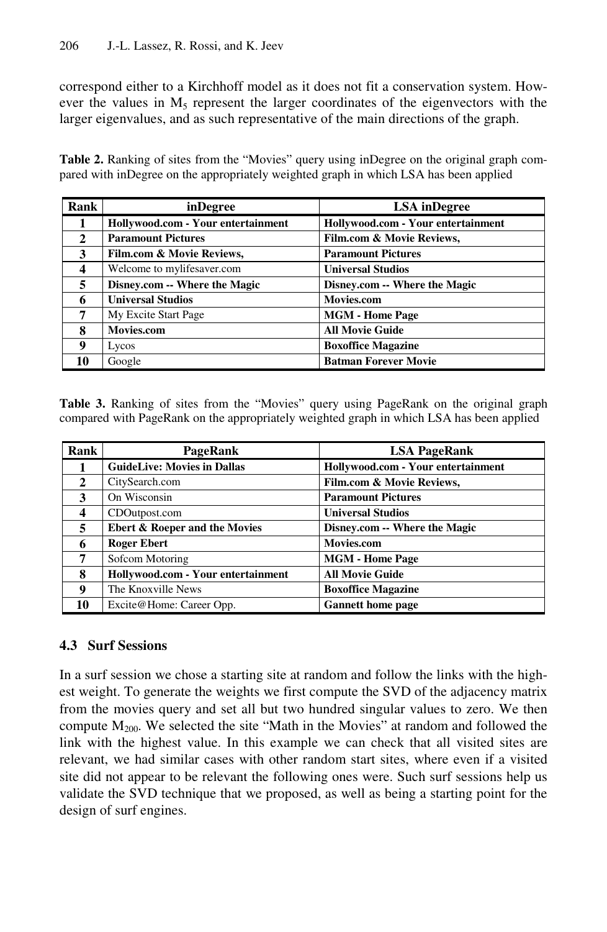correspond either to a Kirchhoff model as it does not fit a conservation system. However the values in  $M_5$  represent the larger coordinates of the eigenvectors with the larger eigenvalues, and as such representative of the main directions of the graph.

**Table 2.** Ranking of sites from the "Movies" query using inDegree on the original graph compared with inDegree on the appropriately weighted graph in which LSA has been applied

| Rank             | <i>inDegree</i>                    | <b>LSA</b> inDegree                |
|------------------|------------------------------------|------------------------------------|
|                  | Hollywood.com - Your entertainment | Hollywood.com - Your entertainment |
| $\mathbf{2}$     | <b>Paramount Pictures</b>          | Film.com & Movie Reviews,          |
| 3                | Film.com & Movie Reviews,          | <b>Paramount Pictures</b>          |
| $\boldsymbol{4}$ | Welcome to mylifesaver.com         | <b>Universal Studios</b>           |
| 5                | Disney.com -- Where the Magic      | Disney.com -- Where the Magic      |
| 6                | <b>Universal Studios</b>           | Movies.com                         |
| 7                | My Excite Start Page               | <b>MGM - Home Page</b>             |
| 8                | Movies.com                         | <b>All Movie Guide</b>             |
| 9                | Lycos                              | <b>Boxoffice Magazine</b>          |
| 10               | Google                             | <b>Batman Forever Movie</b>        |

**Table 3.** Ranking of sites from the "Movies" query using PageRank on the original graph compared with PageRank on the appropriately weighted graph in which LSA has been applied

| Rank         | PageRank                           | <b>LSA PageRank</b>                |
|--------------|------------------------------------|------------------------------------|
|              | <b>GuideLive: Movies in Dallas</b> | Hollywood.com - Your entertainment |
| $\mathbf{2}$ | CitySearch.com                     | Film.com & Movie Reviews,          |
| 3            | On Wisconsin                       | <b>Paramount Pictures</b>          |
| 4            | CDOutpost.com                      | <b>Universal Studios</b>           |
| 5            | Ebert & Roeper and the Movies      | Disney.com -- Where the Magic      |
| 6            | <b>Roger Ebert</b>                 | Movies.com                         |
| 7            | Sofcom Motoring                    | <b>MGM - Home Page</b>             |
| 8            | Hollywood.com - Your entertainment | <b>All Movie Guide</b>             |
| q            | The Knoxville News                 | <b>Boxoffice Magazine</b>          |
| 10           | Excite@Home: Career Opp.           | <b>Gannett home page</b>           |

### **4.3 Surf Sessions**

In a surf session we chose a starting site at random and follow the links with the highest weight. To generate the weights we first compute the SVD of the adjacency matrix from the movies query and set all but two hundred singular values to zero. We then compute  $M<sub>200</sub>$ . We selected the site "Math in the Movies" at random and followed the link with the highest value. In this example we can check that all visited sites are relevant, we had similar cases with other random start sites, where even if a visited site did not appear to be relevant the following ones were. Such surf sessions help us validate the SVD technique that we proposed, as well as being a starting point for the design of surf engines.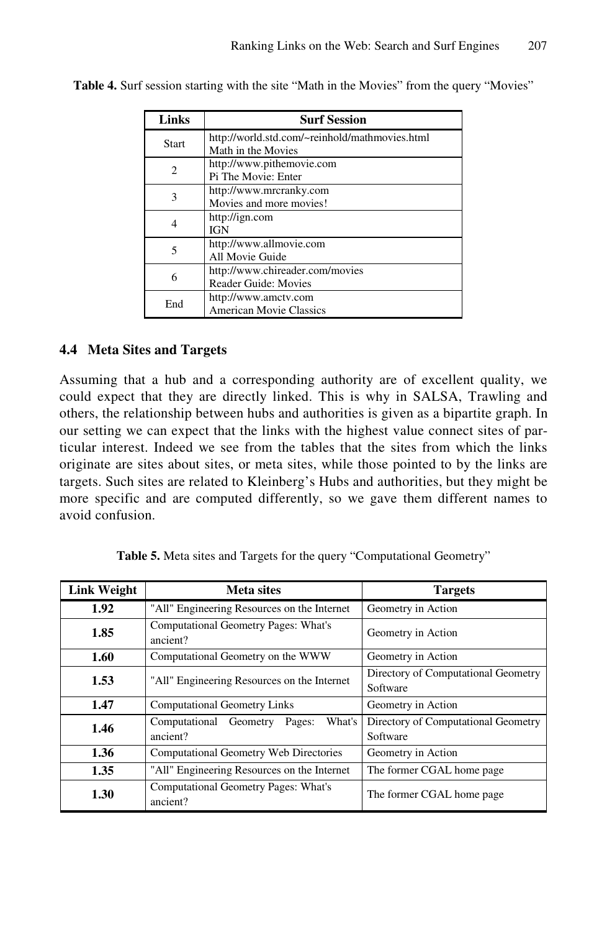| Links        | <b>Surf Session</b>                            |  |
|--------------|------------------------------------------------|--|
| <b>Start</b> | http://world.std.com/~reinhold/mathmovies.html |  |
|              | Math in the Movies                             |  |
| 2            | http://www.pithemovie.com                      |  |
|              | Pi The Movie: Enter                            |  |
| 3            | http://www.mrcranky.com                        |  |
|              | Movies and more movies!                        |  |
|              | http://ign.com                                 |  |
| 4            | <b>IGN</b>                                     |  |
| 5            | http://www.allmovie.com                        |  |
|              | All Movie Guide                                |  |
| 6            | http://www.chireader.com/movies                |  |
|              | Reader Guide: Movies                           |  |
| End          | http://www.amctv.com                           |  |
|              | <b>American Movie Classics</b>                 |  |

**Table 4.** Surf session starting with the site "Math in the Movies" from the query "Movies"

### **4.4 Meta Sites and Targets**

Assuming that a hub and a corresponding authority are of excellent quality, we could expect that they are directly linked. This is why in SALSA, Trawling and others, the relationship between hubs and authorities is given as a bipartite graph. In our setting we can expect that the links with the highest value connect sites of particular interest. Indeed we see from the tables that the sites from which the links originate are sites about sites, or meta sites, while those pointed to by the links are targets. Such sites are related to Kleinberg's Hubs and authorities, but they might be more specific and are computed differently, so we gave them different names to avoid confusion.

| <b>Link Weight</b>                                       | <b>Meta sites</b>                                      | <b>Targets</b>                                  |
|----------------------------------------------------------|--------------------------------------------------------|-------------------------------------------------|
| 1.92                                                     | "All" Engineering Resources on the Internet            | Geometry in Action                              |
| 1.85                                                     | Computational Geometry Pages: What's<br>ancient?       | Geometry in Action                              |
| 1.60                                                     | Computational Geometry on the WWW                      | Geometry in Action                              |
| 1.53                                                     | "All" Engineering Resources on the Internet            | Directory of Computational Geometry<br>Software |
| 1.47                                                     | <b>Computational Geometry Links</b>                    | Geometry in Action                              |
| 1.46                                                     | What's<br>Computational Geometry<br>Pages:<br>ancient? | Directory of Computational Geometry<br>Software |
| 1.36                                                     | <b>Computational Geometry Web Directories</b>          | Geometry in Action                              |
| 1.35                                                     | "All" Engineering Resources on the Internet            | The former CGAL home page                       |
| Computational Geometry Pages: What's<br>1.30<br>ancient? |                                                        | The former CGAL home page                       |

**Table 5.** Meta sites and Targets for the query "Computational Geometry"